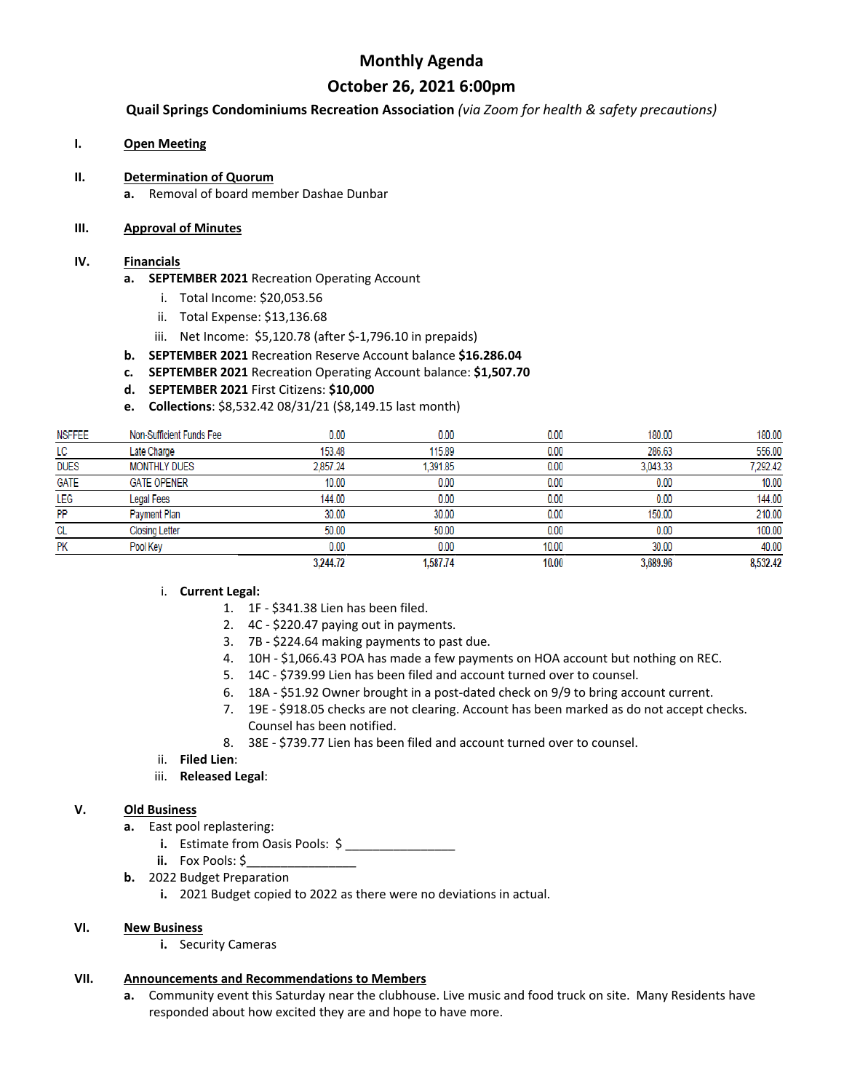## **Monthly Agenda**

## **October 26, 2021 6:00pm**

**Quail Springs Condominiums Recreation Association** *(via Zoom for health & safety precautions)*

## **I. Open Meeting**

## **II. Determination of Quorum**

**a.** Removal of board member Dashae Dunbar

### **III. Approval of Minutes**

#### **IV. Financials**

- **a. SEPTEMBER 2021** Recreation Operating Account
	- i. Total Income: \$20,053.56
	- ii. Total Expense: \$13,136.68
	- iii. Net Income: \$5,120.78 (after \$-1,796.10 in prepaids)
- **b. SEPTEMBER 2021** Recreation Reserve Account balance **\$16.286.04**
- **c. SEPTEMBER 2021** Recreation Operating Account balance: **\$1,507.70**
- **d. SEPTEMBER 2021** First Citizens: **\$10,000**
- **e. Collections**: \$8,532.42 08/31/21 (\$8,149.15 last month)

| <b>NSFFEE</b> | Non-Sufficient Funds Fee | 0.00     | 0.00     | 0.00  | 180.00   | 180.00   |
|---------------|--------------------------|----------|----------|-------|----------|----------|
| LC            | Late Charge              | 153.48   | 115.89   | 0.00  | 286.63   | 556.00   |
| <b>DUES</b>   | <b>MONTHLY DUES</b>      | 2.857.24 | 1.391.85 | 0.00  | 3.043.33 | 7,292.42 |
| <b>GATE</b>   | <b>GATE OPENER</b>       | 10.00    | 0.00     | 0.00  | 0.00     | 10.00    |
| LEG           | <b>Legal Fees</b>        | 144.00   | 0.00     | 0.00  | 0.00     | 144.00   |
| PP            | Payment Plan             | 30.00    | 30.00    | 0.00  | 150.00   | 210.00   |
| CL            | <b>Closing Letter</b>    | 50.00    | 50.00    | 0.00  | 0.00     | 100.00   |
| PK            | Pool Key                 | 0.00     | 0.00     | 10.00 | 30.00    | 40.00    |
|               |                          | 3,244.72 | 1.587.74 | 10.00 | 3,689.96 | 8,532.42 |

## i. **Current Legal:**

- 1. 1F \$341.38 Lien has been filed.
- 2. 4C \$220.47 paying out in payments.
- 3. 7B \$224.64 making payments to past due.
- 4. 10H \$1,066.43 POA has made a few payments on HOA account but nothing on REC.
- 5. 14C \$739.99 Lien has been filed and account turned over to counsel.
- 6. 18A \$51.92 Owner brought in a post-dated check on 9/9 to bring account current.
- 7. 19E \$918.05 checks are not clearing. Account has been marked as do not accept checks. Counsel has been notified.
- 8. 38E \$739.77 Lien has been filed and account turned over to counsel.
- ii. **Filed Lien**:
- iii. **Released Legal**:

#### **V. Old Business**

- **a.** East pool replastering:
	- **i.** Estimate from Oasis Pools: \$
	- **ii.** Fox Pools: \$
- **b.** 2022 Budget Preparation
	- **i.** 2021 Budget copied to 2022 as there were no deviations in actual.

## **VI. New Business**

**i.** Security Cameras

## **VII. Announcements and Recommendations to Members**

**a.** Community event this Saturday near the clubhouse. Live music and food truck on site. Many Residents have responded about how excited they are and hope to have more.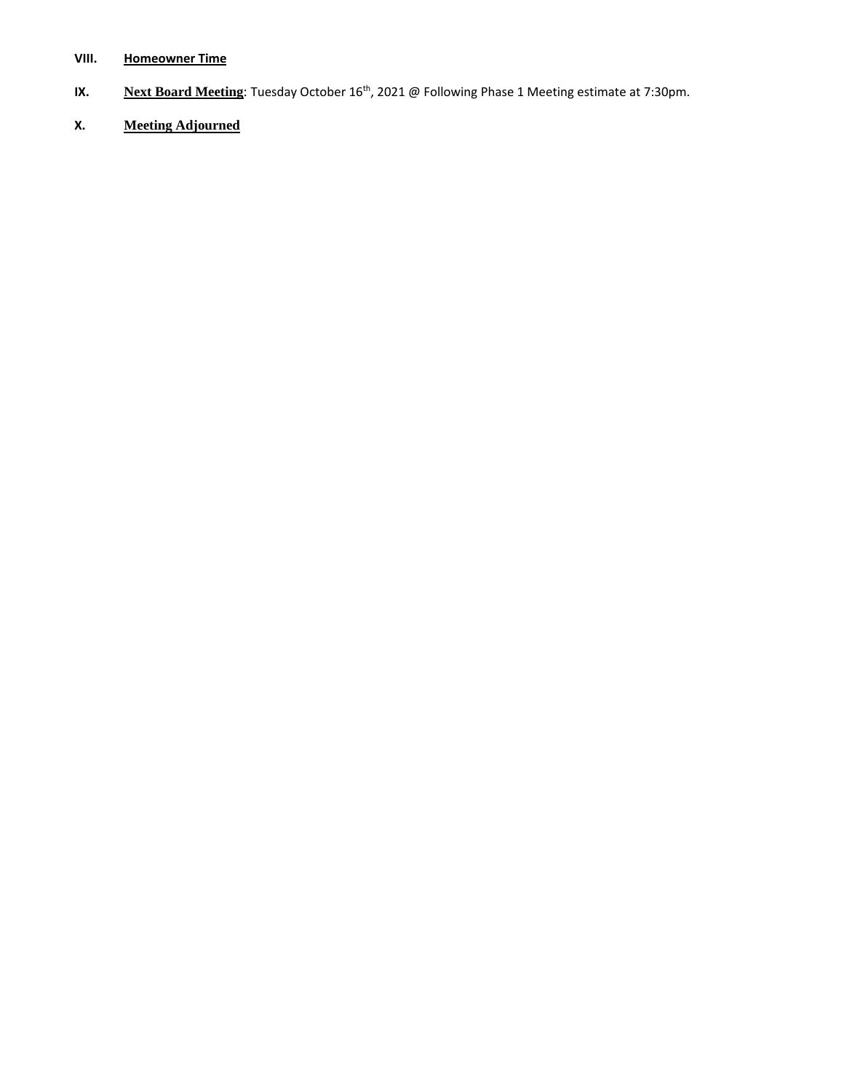## **VIII. Homeowner Time**

- **IX. Next Board Meeting**: Tuesday October 16<sup>th</sup>, 2021 @ Following Phase 1 Meeting estimate at 7:30pm.
- **X. Meeting Adjourned**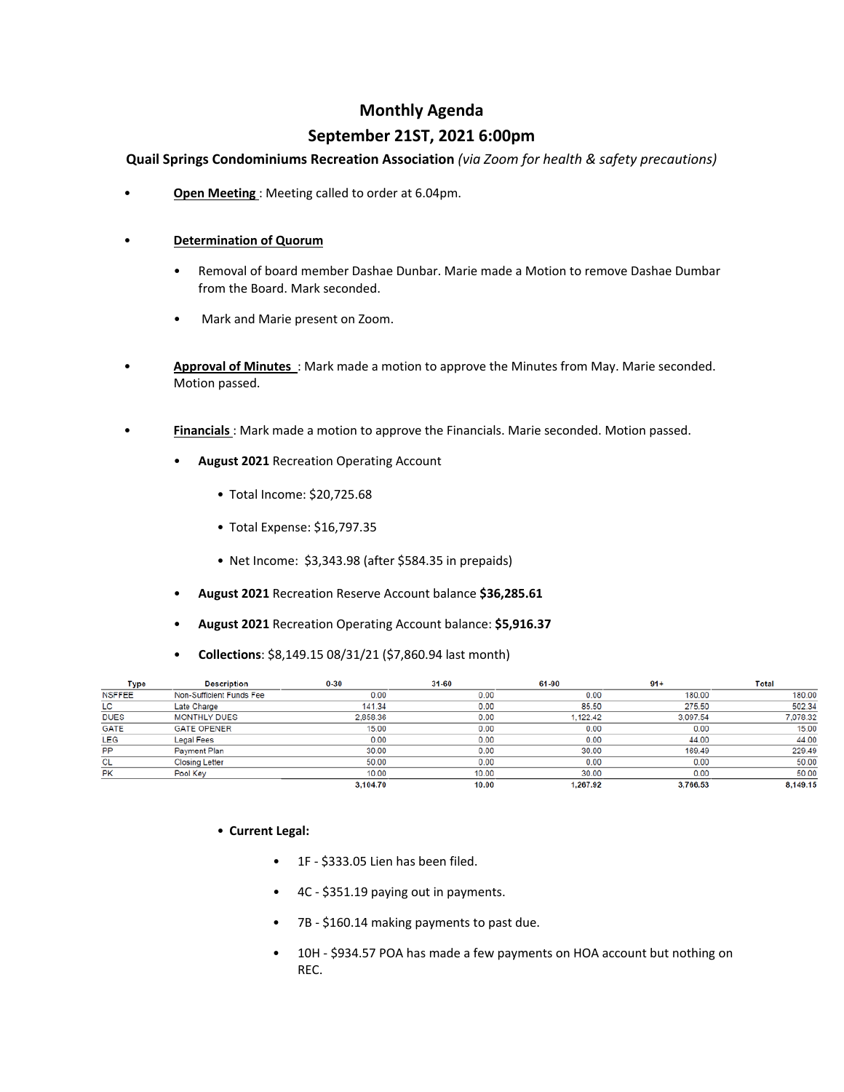## **Monthly Agenda**

## **September 21ST, 2021 6:00pm**

**Quail Springs Condominiums Recreation Association** *(via Zoom for health & safety precautions)*

• **Open Meeting** : Meeting called to order at 6.04pm.

## • **Determination of Quorum**

- Removal of board member Dashae Dunbar. Marie made a Motion to remove Dashae Dumbar from the Board. Mark seconded.
- Mark and Marie present on Zoom.
- **Approval of Minutes** : Mark made a motion to approve the Minutes from May. Marie seconded. Motion passed.
- **Financials** : Mark made a motion to approve the Financials. Marie seconded. Motion passed.
	- **August 2021** Recreation Operating Account
		- Total Income: \$20,725.68
		- Total Expense: \$16,797.35
		- Net Income: \$3,343.98 (after \$584.35 in prepaids)
	- **August 2021** Recreation Reserve Account balance **\$36,285.61**
	- **August 2021** Recreation Operating Account balance: **\$5,916.37**
	- **Collections**: \$8,149.15 08/31/21 (\$7,860.94 last month)

| <b>Type</b>   | <b>Description</b>       | $0 - 30$ | 31-60 | 61-90    | $91+$    | <b>Total</b> |
|---------------|--------------------------|----------|-------|----------|----------|--------------|
| <b>NSFFEE</b> | Non-Sufficient Funds Fee | 0.00     | 0.00  | 0.00     | 180.00   | 180.00       |
| LC            | Late Charge              | 141.34   | 0.00  | 85.50    | 275.50   | 502.34       |
| <b>DUES</b>   | <b>MONTHLY DUES</b>      | 2,858.36 | 0.00  | 1.122.42 | 3,097.54 | 7,078.32     |
| <b>GATE</b>   | <b>GATE OPENER</b>       | 15.00    | 0.00  | 0.00     | 0.00     | 15.00        |
| LEG           | <b>Legal Fees</b>        | 0.00     | 0.00  | 0.00     | 44.00    | 44.00        |
| PP            | Payment Plan             | 30.00    | 0.00  | 30.00    | 169.49   | 229.49       |
| CL            | <b>Closing Letter</b>    | 50.00    | 0.00  | 0.00     | 0.00     | 50.00        |
| <b>PK</b>     | Pool Key                 | 10.00    | 10.00 | 30.00    | 0.00     | 50.00        |
|               |                          | 3,104.70 | 10.00 | 1.267.92 | 3,766.53 | 8.149.15     |

- **Current Legal:**
	- 1F \$333.05 Lien has been filed.
	- 4C \$351.19 paying out in payments.
	- 7B \$160.14 making payments to past due.
	- 10H \$934.57 POA has made a few payments on HOA account but nothing on REC.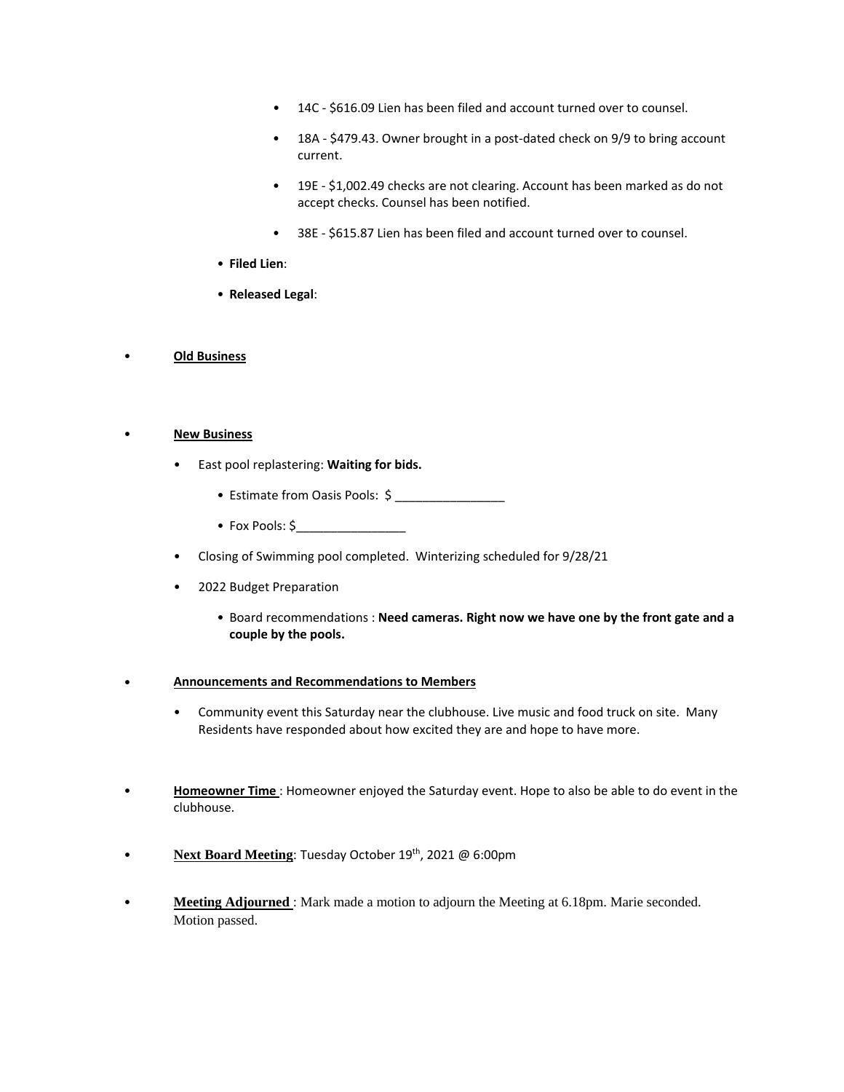- 14C \$616.09 Lien has been filed and account turned over to counsel.
- 18A \$479.43. Owner brought in a post-dated check on 9/9 to bring account current.
- 19E \$1,002.49 checks are not clearing. Account has been marked as do not accept checks. Counsel has been notified.
- 38E \$615.87 Lien has been filed and account turned over to counsel.
- **Filed Lien**:
- **Released Legal**:
- **Old Business**

#### • **New Business**

- East pool replastering: **Waiting for bids.**
	- Estimate from Oasis Pools: \$
	- Fox Pools:  $\zeta$
- Closing of Swimming pool completed. Winterizing scheduled for 9/28/21
- 2022 Budget Preparation
	- Board recommendations : **Need cameras. Right now we have one by the front gate and a couple by the pools.**
- **Announcements and Recommendations to Members**
	- Community event this Saturday near the clubhouse. Live music and food truck on site. Many Residents have responded about how excited they are and hope to have more.
- **Homeowner Time** : Homeowner enjoyed the Saturday event. Hope to also be able to do event in the clubhouse.
- **Next Board Meeting**: Tuesday October 19<sup>th</sup>, 2021 @ 6:00pm
- **Meeting Adjourned** : Mark made a motion to adjourn the Meeting at 6.18pm. Marie seconded. Motion passed.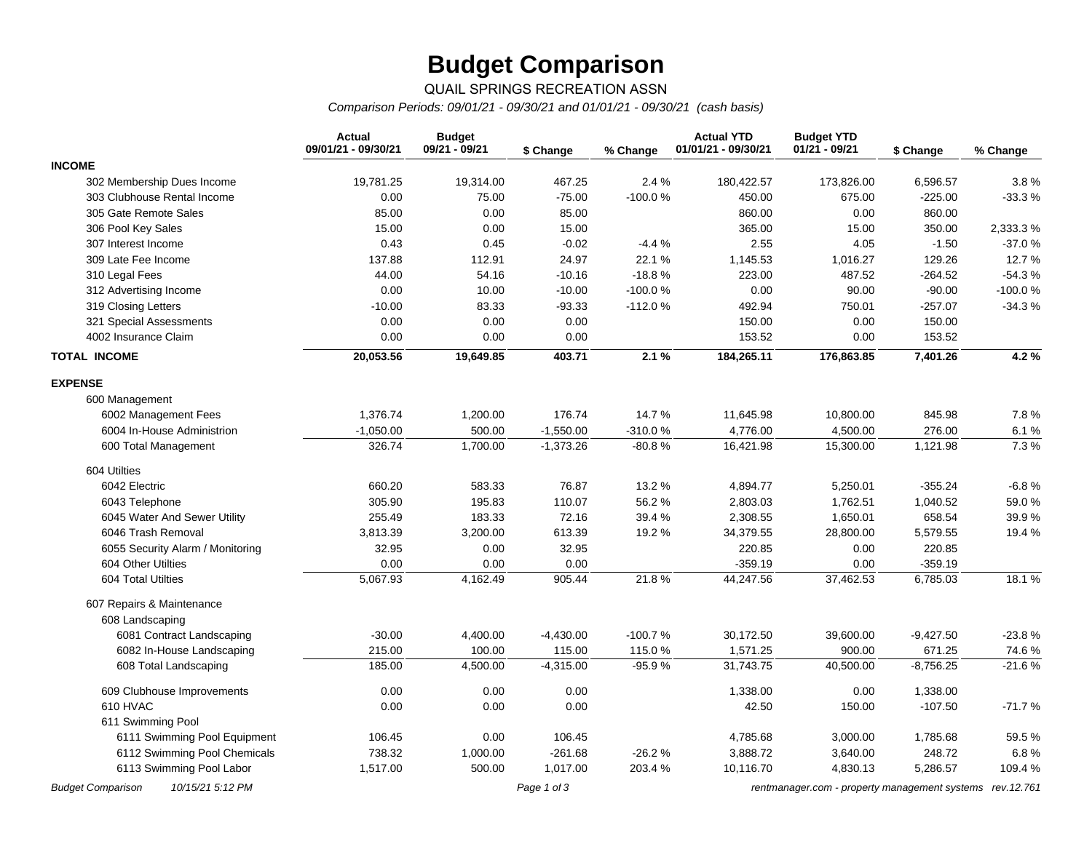# **Budget Comparison**

## QUAIL SPRINGS RECREATION ASSN

*Comparison Periods: 09/01/21 - 09/30/21 and 01/01/21 - 09/30/21 (cash basis)*

|                                  | <b>Actual</b><br>09/01/21 - 09/30/21 | <b>Budget</b><br>09/21 - 09/21 | \$ Change   | % Change  | <b>Actual YTD</b><br>01/01/21 - 09/30/21 | <b>Budget YTD</b><br>$01/21 - 09/21$ | \$ Change   | % Change  |
|----------------------------------|--------------------------------------|--------------------------------|-------------|-----------|------------------------------------------|--------------------------------------|-------------|-----------|
| <b>INCOME</b>                    |                                      |                                |             |           |                                          |                                      |             |           |
| 302 Membership Dues Income       | 19,781.25                            | 19,314.00                      | 467.25      | 2.4 %     | 180,422.57                               | 173,826.00                           | 6,596.57    | 3.8%      |
| 303 Clubhouse Rental Income      | 0.00                                 | 75.00                          | $-75.00$    | $-100.0%$ | 450.00                                   | 675.00                               | $-225.00$   | $-33.3%$  |
| 305 Gate Remote Sales            | 85.00                                | 0.00                           | 85.00       |           | 860.00                                   | 0.00                                 | 860.00      |           |
| 306 Pool Key Sales               | 15.00                                | 0.00                           | 15.00       |           | 365.00                                   | 15.00                                | 350.00      | 2,333.3%  |
| 307 Interest Income              | 0.43                                 | 0.45                           | $-0.02$     | $-4.4%$   | 2.55                                     | 4.05                                 | $-1.50$     | $-37.0%$  |
| 309 Late Fee Income              | 137.88                               | 112.91                         | 24.97       | 22.1%     | 1,145.53                                 | 1,016.27                             | 129.26      | 12.7%     |
| 310 Legal Fees                   | 44.00                                | 54.16                          | $-10.16$    | $-18.8%$  | 223.00                                   | 487.52                               | $-264.52$   | $-54.3%$  |
| 312 Advertising Income           | 0.00                                 | 10.00                          | $-10.00$    | $-100.0%$ | 0.00                                     | 90.00                                | $-90.00$    | $-100.0%$ |
| 319 Closing Letters              | $-10.00$                             | 83.33                          | $-93.33$    | $-112.0%$ | 492.94                                   | 750.01                               | $-257.07$   | $-34.3%$  |
| 321 Special Assessments          | 0.00                                 | 0.00                           | 0.00        |           | 150.00                                   | 0.00                                 | 150.00      |           |
| 4002 Insurance Claim             | 0.00                                 | 0.00                           | 0.00        |           | 153.52                                   | 0.00                                 | 153.52      |           |
| <b>TOTAL INCOME</b>              | 20,053.56                            | 19,649.85                      | 403.71      | 2.1%      | 184,265.11                               | 176,863.85                           | 7,401.26    | 4.2%      |
| <b>EXPENSE</b>                   |                                      |                                |             |           |                                          |                                      |             |           |
| 600 Management                   |                                      |                                |             |           |                                          |                                      |             |           |
| 6002 Management Fees             | 1,376.74                             | 1,200.00                       | 176.74      | 14.7%     | 11,645.98                                | 10,800.00                            | 845.98      | 7.8%      |
| 6004 In-House Administrion       | $-1,050.00$                          | 500.00                         | $-1,550.00$ | -310.0%   | 4,776.00                                 | 4,500.00                             | 276.00      | 6.1%      |
| 600 Total Management             | 326.74                               | 1,700.00                       | $-1,373.26$ | $-80.8%$  | 16,421.98                                | 15,300.00                            | 1,121.98    | 7.3 %     |
| 604 Utilties                     |                                      |                                |             |           |                                          |                                      |             |           |
| 6042 Electric                    | 660.20                               | 583.33                         | 76.87       | 13.2 %    | 4,894.77                                 | 5,250.01                             | $-355.24$   | $-6.8%$   |
| 6043 Telephone                   | 305.90                               | 195.83                         | 110.07      | 56.2%     | 2,803.03                                 | 1,762.51                             | 1,040.52    | 59.0%     |
| 6045 Water And Sewer Utility     | 255.49                               | 183.33                         | 72.16       | 39.4%     | 2,308.55                                 | 1,650.01                             | 658.54      | 39.9%     |
| 6046 Trash Removal               | 3,813.39                             | 3,200.00                       | 613.39      | 19.2 %    | 34,379.55                                | 28,800.00                            | 5,579.55    | 19.4 %    |
| 6055 Security Alarm / Monitoring | 32.95                                | 0.00                           | 32.95       |           | 220.85                                   | 0.00                                 | 220.85      |           |
| 604 Other Utilties               | 0.00                                 | 0.00                           | 0.00        |           | $-359.19$                                | 0.00                                 | $-359.19$   |           |
| 604 Total Utilties               | 5,067.93                             | 4,162.49                       | 905.44      | 21.8%     | 44,247.56                                | 37,462.53                            | 6,785.03    | 18.1 %    |
| 607 Repairs & Maintenance        |                                      |                                |             |           |                                          |                                      |             |           |
| 608 Landscaping                  |                                      |                                |             |           |                                          |                                      |             |           |
| 6081 Contract Landscaping        | $-30.00$                             | 4,400.00                       | $-4,430.00$ | $-100.7%$ | 30,172.50                                | 39,600.00                            | $-9,427.50$ | $-23.8%$  |
| 6082 In-House Landscaping        | 215.00                               | 100.00                         | 115.00      | 115.0%    | 1,571.25                                 | 900.00                               | 671.25      | 74.6%     |
| 608 Total Landscaping            | 185.00                               | 4,500.00                       | $-4,315.00$ | $-95.9%$  | 31,743.75                                | 40,500.00                            | $-8,756.25$ | $-21.6%$  |
| 609 Clubhouse Improvements       | 0.00                                 | 0.00                           | 0.00        |           | 1,338.00                                 | 0.00                                 | 1,338.00    |           |
| 610 HVAC                         | 0.00                                 | 0.00                           | 0.00        |           | 42.50                                    | 150.00                               | $-107.50$   | $-71.7%$  |
| 611 Swimming Pool                |                                      |                                |             |           |                                          |                                      |             |           |
| 6111 Swimming Pool Equipment     | 106.45                               | 0.00                           | 106.45      |           | 4,785.68                                 | 3,000.00                             | 1,785.68    | 59.5 %    |
| 6112 Swimming Pool Chemicals     | 738.32                               | 1,000.00                       | $-261.68$   | $-26.2%$  | 3,888.72                                 | 3,640.00                             | 248.72      | 6.8%      |
| 6113 Swimming Pool Labor         | 1,517.00                             | 500.00                         | 1,017.00    | 203.4 %   | 10,116.70                                | 4,830.13                             | 5,286.57    | 109.4 %   |

*Budget Comparison 10/15/21 5:12 PM Page 1 of 3 [rentmanager.com - property management systems rev.12.761](http://www.rentmanager.com)*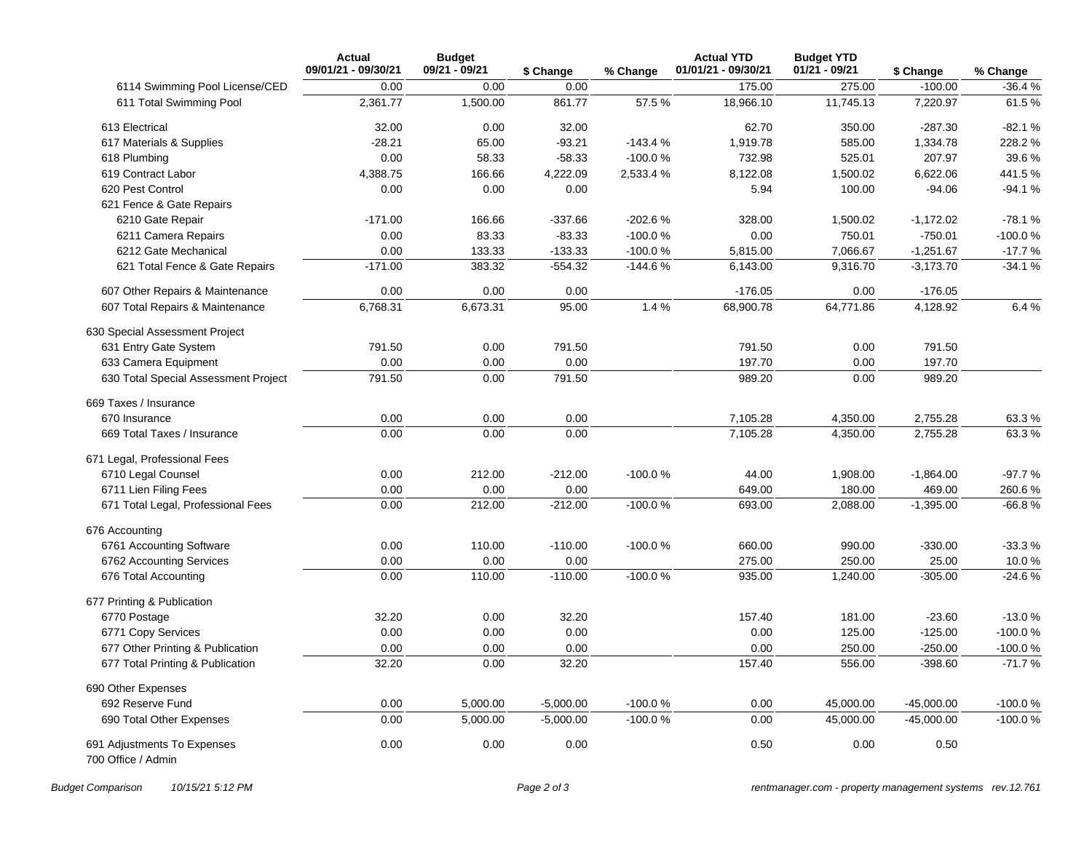|                                                   | <b>Actual</b><br>09/01/21 - 09/30/21 | <b>Budget</b><br>09/21 - 09/21 | \$ Change   | % Change  | <b>Actual YTD</b><br>01/01/21 - 09/30/21 | <b>Budget YTD</b><br>$01/21 - 09/21$ | \$ Change    | % Change  |
|---------------------------------------------------|--------------------------------------|--------------------------------|-------------|-----------|------------------------------------------|--------------------------------------|--------------|-----------|
| 6114 Swimming Pool License/CED                    | 0.00                                 | 0.00                           | 0.00        |           | 175.00                                   | 275.00                               | $-100.00$    | $-36.4%$  |
| 611 Total Swimming Pool                           | 2,361.77                             | 1,500.00                       | 861.77      | 57.5%     | 18,966.10                                | 11,745.13                            | 7,220.97     | 61.5%     |
| 613 Electrical                                    | 32.00                                | 0.00                           | 32.00       |           | 62.70                                    | 350.00                               | $-287.30$    | $-82.1%$  |
| 617 Materials & Supplies                          | $-28.21$                             | 65.00                          | $-93.21$    | $-143.4%$ | 1,919.78                                 | 585.00                               | 1,334.78     | 228.2%    |
| 618 Plumbing                                      | 0.00                                 | 58.33                          | $-58.33$    | $-100.0%$ | 732.98                                   | 525.01                               | 207.97       | 39.6%     |
| 619 Contract Labor                                | 4,388.75                             | 166.66                         | 4,222.09    | 2,533.4 % | 8,122.08                                 | 1,500.02                             | 6,622.06     | 441.5%    |
| 620 Pest Control                                  | 0.00                                 | 0.00                           | 0.00        |           | 5.94                                     | 100.00                               | $-94.06$     | $-94.1%$  |
| 621 Fence & Gate Repairs                          |                                      |                                |             |           |                                          |                                      |              |           |
| 6210 Gate Repair                                  | $-171.00$                            | 166.66                         | $-337.66$   | -202.6%   | 328.00                                   | 1,500.02                             | $-1,172.02$  | $-78.1%$  |
| 6211 Camera Repairs                               | 0.00                                 | 83.33                          | $-83.33$    | $-100.0%$ | 0.00                                     | 750.01                               | $-750.01$    | -100.0%   |
| 6212 Gate Mechanical                              | 0.00                                 | 133.33                         | $-133.33$   | -100.0%   | 5,815.00                                 | 7,066.67                             | $-1,251.67$  | $-17.7%$  |
| 621 Total Fence & Gate Repairs                    | $-171.00$                            | 383.32                         | $-554.32$   | $-144.6%$ | 6,143.00                                 | 9,316.70                             | $-3,173.70$  | $-34.1%$  |
| 607 Other Repairs & Maintenance                   | 0.00                                 | 0.00                           | 0.00        |           | $-176.05$                                | 0.00                                 | $-176.05$    |           |
| 607 Total Repairs & Maintenance                   | 6,768.31                             | 6,673.31                       | 95.00       | 1.4%      | 68,900.78                                | 64,771.86                            | 4,128.92     | 6.4%      |
| 630 Special Assessment Project                    |                                      |                                |             |           |                                          |                                      |              |           |
| 631 Entry Gate System                             | 791.50                               | 0.00                           | 791.50      |           | 791.50                                   | 0.00                                 | 791.50       |           |
| 633 Camera Equipment                              | 0.00                                 | 0.00                           | 0.00        |           | 197.70                                   | 0.00                                 | 197.70       |           |
| 630 Total Special Assessment Project              | 791.50                               | 0.00                           | 791.50      |           | 989.20                                   | 0.00                                 | 989.20       |           |
| 669 Taxes / Insurance                             |                                      |                                |             |           |                                          |                                      |              |           |
| 670 Insurance                                     | 0.00                                 | 0.00                           | 0.00        |           | 7,105.28                                 | 4,350.00                             | 2,755.28     | 63.3%     |
| 669 Total Taxes / Insurance                       | 0.00                                 | 0.00                           | 0.00        |           | 7,105.28                                 | 4,350.00                             | 2,755.28     | 63.3%     |
| 671 Legal, Professional Fees                      |                                      |                                |             |           |                                          |                                      |              |           |
| 6710 Legal Counsel                                | 0.00                                 | 212.00                         | $-212.00$   | $-100.0%$ | 44.00                                    | 1,908.00                             | $-1,864.00$  | $-97.7%$  |
| 6711 Lien Filing Fees                             | 0.00                                 | 0.00                           | 0.00        |           | 649.00                                   | 180.00                               | 469.00       | 260.6%    |
| 671 Total Legal, Professional Fees                | 0.00                                 | 212.00                         | $-212.00$   | $-100.0%$ | 693.00                                   | 2,088.00                             | $-1,395.00$  | $-66.8%$  |
| 676 Accounting                                    |                                      |                                |             |           |                                          |                                      |              |           |
| 6761 Accounting Software                          | 0.00                                 | 110.00                         | $-110.00$   | $-100.0%$ | 660.00                                   | 990.00                               | $-330.00$    | $-33.3%$  |
| 6762 Accounting Services                          | 0.00                                 | 0.00                           | 0.00        |           | 275.00                                   | 250.00                               | 25.00        | 10.0%     |
| 676 Total Accounting                              | 0.00                                 | 110.00                         | $-110.00$   | $-100.0%$ | 935.00                                   | 1,240.00                             | $-305.00$    | $-24.6%$  |
| 677 Printing & Publication                        |                                      |                                |             |           |                                          |                                      |              |           |
| 6770 Postage                                      | 32.20                                | 0.00                           | 32.20       |           | 157.40                                   | 181.00                               | $-23.60$     | $-13.0%$  |
| 6771 Copy Services                                | 0.00                                 | 0.00                           | 0.00        |           | 0.00                                     | 125.00                               | $-125.00$    | $-100.0%$ |
| 677 Other Printing & Publication                  | 0.00                                 | 0.00                           | 0.00        |           | 0.00                                     | 250.00                               | $-250.00$    | -100.0%   |
| 677 Total Printing & Publication                  | 32.20                                | 0.00                           | 32.20       |           | 157.40                                   | 556.00                               | $-398.60$    | $-71.7%$  |
| 690 Other Expenses                                |                                      |                                |             |           |                                          |                                      |              |           |
| 692 Reserve Fund                                  | 0.00                                 | 5,000.00                       | $-5,000.00$ | $-100.0%$ | 0.00                                     | 45,000.00                            | $-45,000.00$ | $-100.0%$ |
| 690 Total Other Expenses                          | 0.00                                 | 5,000.00                       | $-5,000.00$ | $-100.0%$ | 0.00                                     | 45,000.00                            | $-45,000.00$ | $-100.0%$ |
| 691 Adjustments To Expenses<br>700 Office / Admin | 0.00                                 | 0.00                           | 0.00        |           | 0.50                                     | 0.00                                 | 0.50         |           |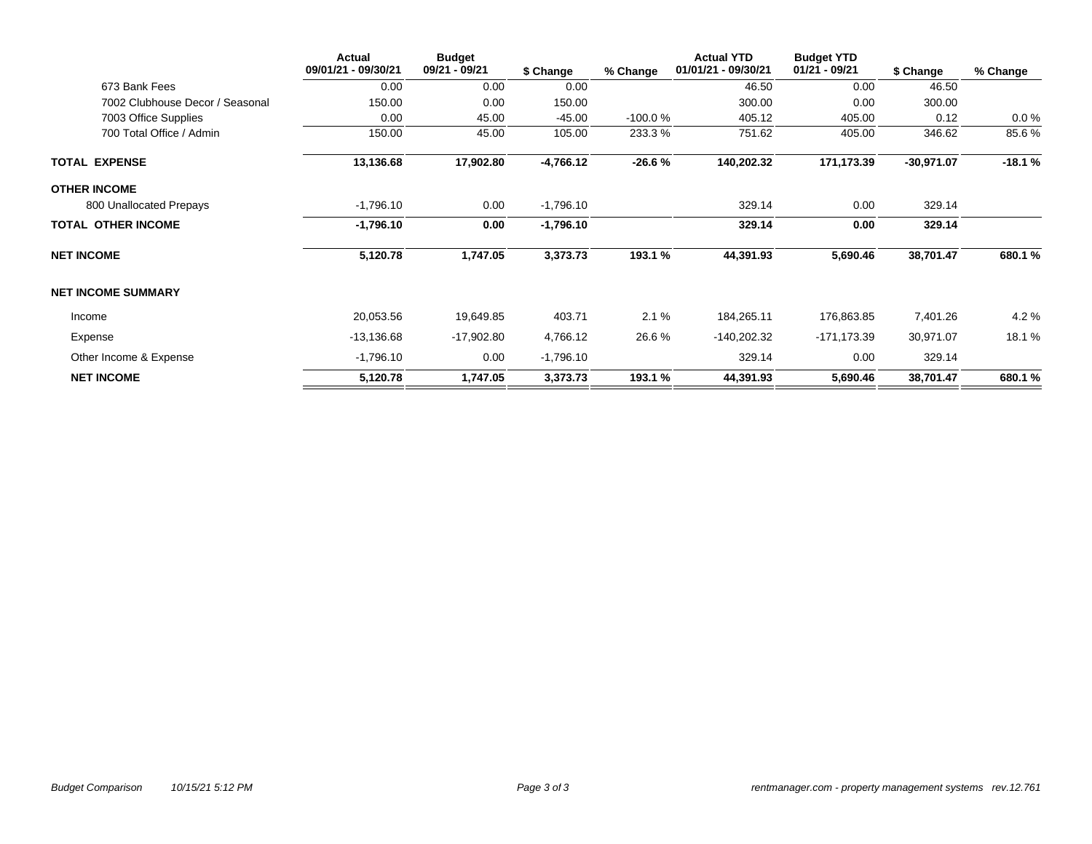|                                 | Actual<br>09/01/21 - 09/30/21 | <b>Budget</b><br>09/21 - 09/21 | \$ Change   | % Change  | <b>Actual YTD</b><br>01/01/21 - 09/30/21 | <b>Budget YTD</b><br>01/21 - 09/21 | \$ Change    | % Change |
|---------------------------------|-------------------------------|--------------------------------|-------------|-----------|------------------------------------------|------------------------------------|--------------|----------|
| 673 Bank Fees                   | 0.00                          | 0.00                           | 0.00        |           | 46.50                                    | 0.00                               | 46.50        |          |
| 7002 Clubhouse Decor / Seasonal | 150.00                        | 0.00                           | 150.00      |           | 300.00                                   | 0.00                               | 300.00       |          |
| 7003 Office Supplies            | 0.00                          | 45.00                          | $-45.00$    | $-100.0%$ | 405.12                                   | 405.00                             | 0.12         | $0.0 \%$ |
| 700 Total Office / Admin        | 150.00                        | 45.00                          | 105.00      | 233.3%    | 751.62                                   | 405.00                             | 346.62       | 85.6%    |
| <b>TOTAL EXPENSE</b>            | 13,136.68                     | 17,902.80                      | $-4,766.12$ | $-26.6%$  | 140,202.32                               | 171,173.39                         | $-30,971.07$ | $-18.1%$ |
| <b>OTHER INCOME</b>             |                               |                                |             |           |                                          |                                    |              |          |
| 800 Unallocated Prepays         | $-1,796.10$                   | 0.00                           | $-1,796.10$ |           | 329.14                                   | 0.00                               | 329.14       |          |
| <b>TOTAL OTHER INCOME</b>       | $-1,796.10$                   | 0.00                           | $-1,796.10$ |           | 329.14                                   | 0.00                               | 329.14       |          |
| <b>NET INCOME</b>               | 5,120.78                      | 1,747.05                       | 3,373.73    | 193.1 %   | 44,391.93                                | 5,690.46                           | 38,701.47    | 680.1 %  |
| <b>NET INCOME SUMMARY</b>       |                               |                                |             |           |                                          |                                    |              |          |
| Income                          | 20,053.56                     | 19,649.85                      | 403.71      | 2.1%      | 184,265.11                               | 176,863.85                         | 7,401.26     | 4.2%     |
| Expense                         | $-13,136.68$                  | $-17,902.80$                   | 4,766.12    | 26.6%     | $-140,202.32$                            | $-171, 173.39$                     | 30,971.07    | 18.1 %   |
| Other Income & Expense          | $-1,796.10$                   | 0.00                           | $-1,796.10$ |           | 329.14                                   | 0.00                               | 329.14       |          |
| <b>NET INCOME</b>               | 5,120.78                      | 1,747.05                       | 3,373.73    | 193.1 %   | 44,391.93                                | 5,690.46                           | 38,701.47    | 680.1 %  |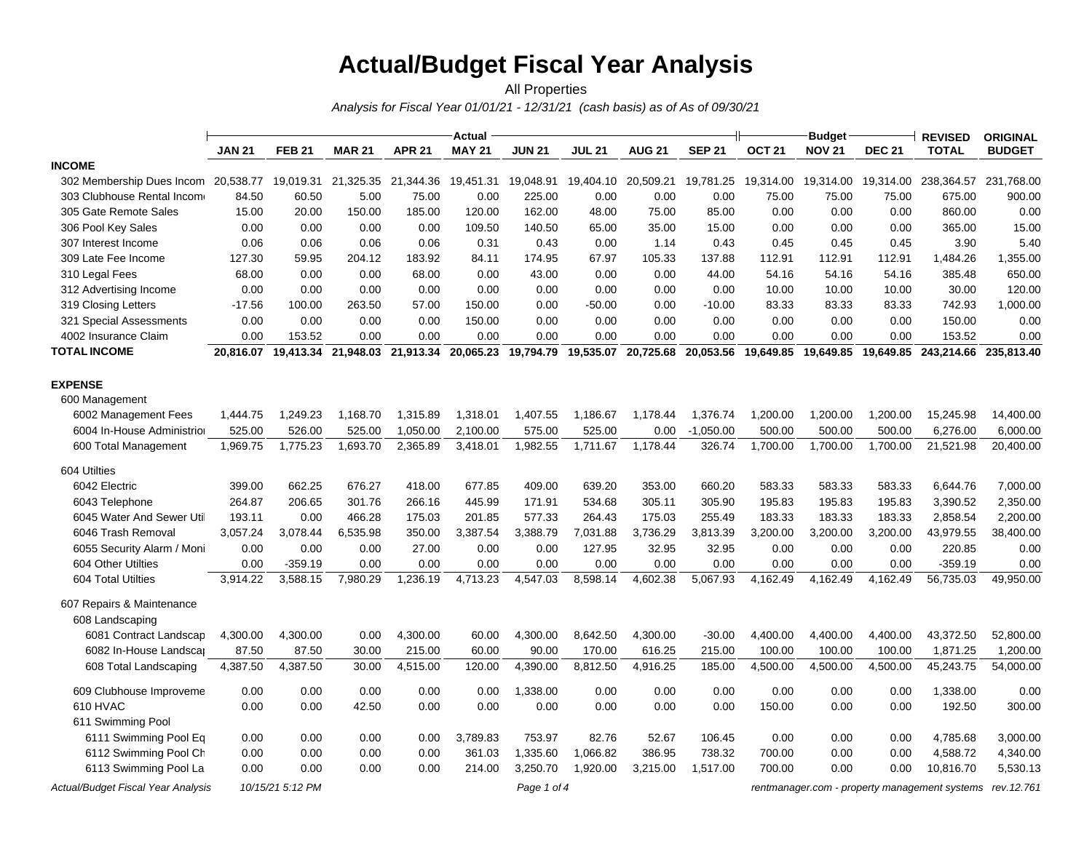# **Actual/Budget Fiscal Year Analysis**

*Analysis for Fiscal Year 01/01/21 - 12/31/21 (cash basis) as of As of 09/30/21* All Properties

|                                           |               |                     |               |                     | Actual        |               |                      |               |                     | Budget            |               | <b>REVISED</b> | <b>ORIGINAL</b>                               |               |
|-------------------------------------------|---------------|---------------------|---------------|---------------------|---------------|---------------|----------------------|---------------|---------------------|-------------------|---------------|----------------|-----------------------------------------------|---------------|
|                                           | <b>JAN 21</b> | <b>FEB 21</b>       | <b>MAR 21</b> | <b>APR 21</b>       | <b>MAY 21</b> | <b>JUN 21</b> | <b>JUL 21</b>        | <b>AUG 21</b> | <b>SEP 21</b>       | OCT <sub>21</sub> | <b>NOV 21</b> | <b>DEC 21</b>  | <b>TOTAL</b>                                  | <b>BUDGET</b> |
| <b>INCOME</b>                             |               |                     |               |                     |               |               |                      |               |                     |                   |               |                |                                               |               |
| 302 Membership Dues Incom 20,538.77       |               | 19,019.31           | 21,325.35     | 21,344.36 19,451.31 |               |               | 19,048.91  19,404.10 | 20,509.21     | 19,781.25           | 19,314.00         | 19,314.00     | 19,314.00      | 238,364.57                                    | 231,768.00    |
| 303 Clubhouse Rental Income               | 84.50         | 60.50               | 5.00          | 75.00               | 0.00          | 225.00        | 0.00                 | 0.00          | 0.00                | 75.00             | 75.00         | 75.00          | 675.00                                        | 900.00        |
| 305 Gate Remote Sales                     | 15.00         | 20.00               | 150.00        | 185.00              | 120.00        | 162.00        | 48.00                | 75.00         | 85.00               | 0.00              | 0.00          | 0.00           | 860.00                                        | 0.00          |
| 306 Pool Key Sales                        | 0.00          | 0.00                | 0.00          | 0.00                | 109.50        | 140.50        | 65.00                | 35.00         | 15.00               | 0.00              | 0.00          | 0.00           | 365.00                                        | 15.00         |
| 307 Interest Income                       | 0.06          | 0.06                | 0.06          | 0.06                | 0.31          | 0.43          | 0.00                 | 1.14          | 0.43                | 0.45              | 0.45          | 0.45           | 3.90                                          | 5.40          |
| 309 Late Fee Income                       | 127.30        | 59.95               | 204.12        | 183.92              | 84.11         | 174.95        | 67.97                | 105.33        | 137.88              | 112.91            | 112.91        | 112.91         | 1,484.26                                      | 1,355.00      |
| 310 Legal Fees                            | 68.00         | 0.00                | 0.00          | 68.00               | 0.00          | 43.00         | 0.00                 | 0.00          | 44.00               | 54.16             | 54.16         | 54.16          | 385.48                                        | 650.00        |
| 312 Advertising Income                    | 0.00          | 0.00                | 0.00          | 0.00                | 0.00          | 0.00          | 0.00                 | 0.00          | 0.00                | 10.00             | 10.00         | 10.00          | 30.00                                         | 120.00        |
| 319 Closing Letters                       | $-17.56$      | 100.00              | 263.50        | 57.00               | 150.00        | 0.00          | $-50.00$             | 0.00          | $-10.00$            | 83.33             | 83.33         | 83.33          | 742.93                                        | 1,000.00      |
| 321 Special Assessments                   | 0.00          | 0.00                | 0.00          | 0.00                | 150.00        | 0.00          | 0.00                 | 0.00          | 0.00                | 0.00              | 0.00          | 0.00           | 150.00                                        | 0.00          |
| 4002 Insurance Claim                      | 0.00          | 153.52              | 0.00          | 0.00                | 0.00          | 0.00          | 0.00                 | 0.00          | 0.00                | 0.00              | 0.00          | 0.00           | 153.52                                        | 0.00          |
| <b>TOTAL INCOME</b>                       |               | 20,816.07 19,413.34 |               | 21,948.03 21,913.34 | 20,065.23     |               | 19,794.79 19,535.07  |               | 20,725.68 20,053.56 | 19,649.85         | 19,649.85     |                | 19,649.85 243,214.66 235,813.40               |               |
| <b>EXPENSE</b>                            |               |                     |               |                     |               |               |                      |               |                     |                   |               |                |                                               |               |
| 600 Management                            |               |                     |               |                     |               |               |                      |               |                     |                   |               |                |                                               |               |
| 6002 Management Fees                      | 1,444.75      | 1,249.23            | 1,168.70      | 1,315.89            | 1,318.01      | 1,407.55      | 1,186.67             | 1,178.44      | 1,376.74            | 1,200.00          | 1,200.00      | 1,200.00       | 15,245.98                                     | 14,400.00     |
| 6004 In-House Administrior                | 525.00        | 526.00              | 525.00        | 1,050.00            | 2,100.00      | 575.00        | 525.00               | 0.00          | $-1,050.00$         | 500.00            | 500.00        | 500.00         | 6,276.00                                      | 6,000.00      |
| 600 Total Management                      | 1,969.75      | 1,775.23            | 1,693.70      | 2,365.89            | 3,418.01      | 1,982.55      | 1,711.67             | 1,178.44      | 326.74              | 1,700.00          | 1,700.00      | 1,700.00       | 21,521.98                                     | 20,400.00     |
| 604 Utilties                              |               |                     |               |                     |               |               |                      |               |                     |                   |               |                |                                               |               |
| 6042 Electric                             | 399.00        | 662.25              | 676.27        | 418.00              | 677.85        | 409.00        | 639.20               | 353.00        | 660.20              | 583.33            | 583.33        | 583.33         | 6,644.76                                      | 7,000.00      |
| 6043 Telephone                            | 264.87        | 206.65              | 301.76        | 266.16              | 445.99        | 171.91        | 534.68               | 305.11        | 305.90              | 195.83            | 195.83        | 195.83         | 3,390.52                                      | 2,350.00      |
| 6045 Water And Sewer Util                 | 193.11        | 0.00                | 466.28        | 175.03              | 201.85        | 577.33        | 264.43               | 175.03        | 255.49              | 183.33            | 183.33        | 183.33         | 2,858.54                                      | 2,200.00      |
| 6046 Trash Removal                        | 3,057.24      | 3,078.44            | 6,535.98      | 350.00              | 3,387.54      | 3,388.79      | 7,031.88             | 3,736.29      | 3,813.39            | 3,200.00          | 3,200.00      | 3,200.00       | 43,979.55                                     | 38,400.00     |
| 6055 Security Alarm / Moni                | 0.00          | 0.00                | 0.00          | 27.00               | 0.00          | 0.00          | 127.95               | 32.95         | 32.95               | 0.00              | 0.00          | 0.00           | 220.85                                        | 0.00          |
| 604 Other Utilties                        | 0.00          | $-359.19$           | 0.00          | 0.00                | 0.00          | 0.00          | 0.00                 | 0.00          | 0.00                | 0.00              | 0.00          | 0.00           | $-359.19$                                     | 0.00          |
| 604 Total Utilties                        | 3,914.22      | 3,588.15            | 7,980.29      | 1,236.19            | 4,713.23      | 4,547.03      | 8,598.14             | 4,602.38      | 5,067.93            | 4,162.49          | 4,162.49      | 4,162.49       | 56,735.03                                     | 49,950.00     |
| 607 Repairs & Maintenance                 |               |                     |               |                     |               |               |                      |               |                     |                   |               |                |                                               |               |
| 608 Landscaping                           |               |                     |               |                     |               |               |                      |               |                     |                   |               |                |                                               |               |
| 6081 Contract Landscap                    | 4,300.00      | 4,300.00            | 0.00          | 4,300.00            | 60.00         | 4,300.00      | 8,642.50             | 4,300.00      | $-30.00$            | 4,400.00          | 4,400.00      | 4,400.00       | 43,372.50                                     | 52,800.00     |
| 6082 In-House Landscar                    | 87.50         | 87.50               | 30.00         | 215.00              | 60.00         | 90.00         | 170.00               | 616.25        | 215.00              | 100.00            | 100.00        | 100.00         | 1,871.25                                      | 1,200.00      |
| 608 Total Landscaping                     | 4,387.50      | 4,387.50            | 30.00         | 4,515.00            | 120.00        | 4,390.00      | 8,812.50             | 4,916.25      | 185.00              | 4,500.00          | 4,500.00      | 4,500.00       | 45,243.75                                     | 54,000.00     |
| 609 Clubhouse Improveme                   | 0.00          | 0.00                | 0.00          | 0.00                | 0.00          | 1,338.00      | 0.00                 | 0.00          | 0.00                | 0.00              | 0.00          | 0.00           | 1,338.00                                      | 0.00          |
| 610 HVAC                                  | 0.00          | 0.00                | 42.50         | 0.00                | 0.00          | 0.00          | 0.00                 | 0.00          | 0.00                | 150.00            | 0.00          | 0.00           | 192.50                                        | 300.00        |
| 611 Swimming Pool                         |               |                     |               |                     |               |               |                      |               |                     |                   |               |                |                                               |               |
| 6111 Swimming Pool Eq                     | 0.00          | 0.00                | 0.00          | 0.00                | 3,789.83      | 753.97        | 82.76                | 52.67         | 106.45              | 0.00              | 0.00          | 0.00           | 4,785.68                                      | 3,000.00      |
| 6112 Swimming Pool Ch                     | 0.00          | 0.00                | 0.00          | 0.00                | 361.03        | 1,335.60      | 1,066.82             | 386.95        | 738.32              | 700.00            | 0.00          | 0.00           | 4,588.72                                      | 4,340.00      |
| 6113 Swimming Pool La                     | 0.00          | 0.00                | 0.00          | 0.00                | 214.00        | 3,250.70      | 1,920.00             | 3,215.00      | 1,517.00            | 700.00            | 0.00          | 0.00           | 10,816.70                                     | 5,530.13      |
| <b>Actual/Budget Fiscal Year Analysis</b> |               | 10/15/21 5:12 PM    |               |                     |               | Page 1 of 4   |                      |               |                     |                   |               |                | rentmanager.com - property management systems | rev. 12.761   |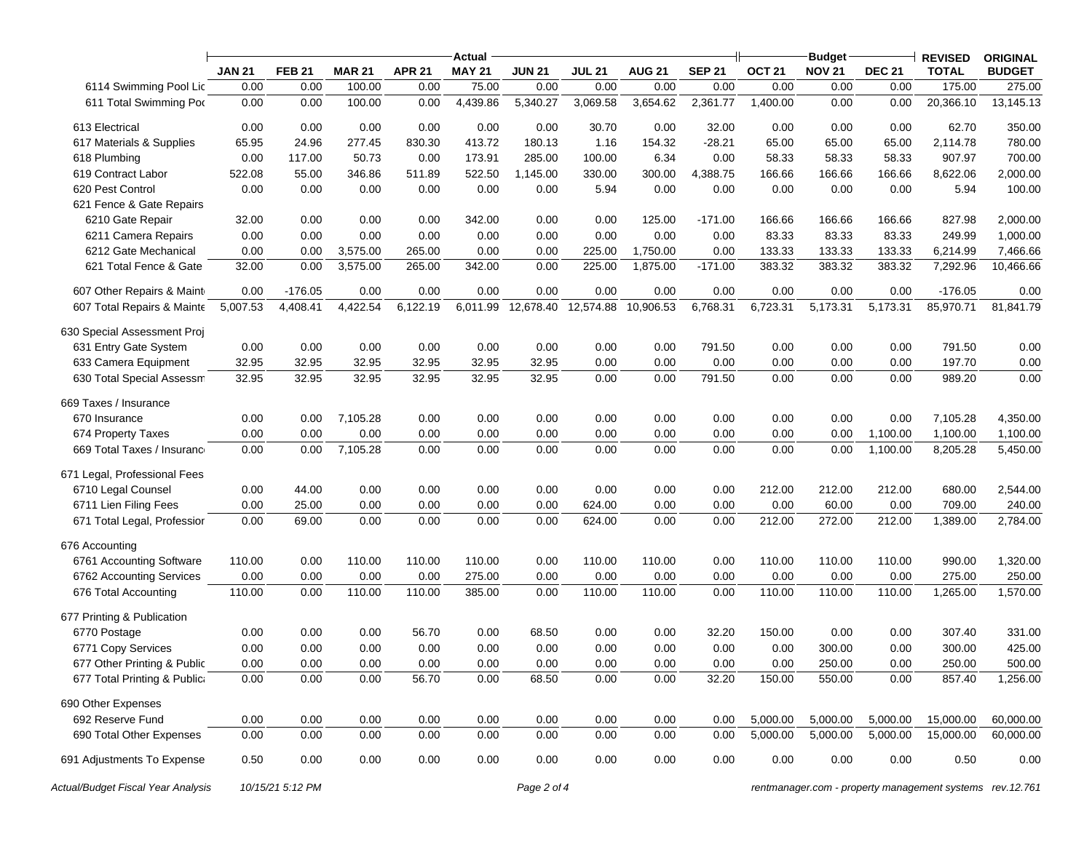|                              |               |               |               |               | Actual        |               |               |               |               |                   | <b>Budget</b> |               | <b>REVISED</b> | <b>ORIGINAL</b> |
|------------------------------|---------------|---------------|---------------|---------------|---------------|---------------|---------------|---------------|---------------|-------------------|---------------|---------------|----------------|-----------------|
|                              | <b>JAN 21</b> | <b>FEB 21</b> | <b>MAR 21</b> | <b>APR 21</b> | <b>MAY 21</b> | <b>JUN 21</b> | <b>JUL 21</b> | <b>AUG 21</b> | <b>SEP 21</b> | OCT <sub>21</sub> | <b>NOV 21</b> | <b>DEC 21</b> | <b>TOTAL</b>   | <b>BUDGET</b>   |
| 6114 Swimming Pool Lic       | 0.00          | 0.00          | 100.00        | 0.00          | 75.00         | 0.00          | 0.00          | 0.00          | 0.00          | 0.00              | 0.00          | 0.00          | 175.00         | 275.00          |
| 611 Total Swimming Pod       | 0.00          | 0.00          | 100.00        | 0.00          | 4,439.86      | 5,340.27      | 3,069.58      | 3,654.62      | 2,361.77      | 1,400.00          | 0.00          | 0.00          | 20,366.10      | 13,145.13       |
| 613 Electrical               | 0.00          | 0.00          | 0.00          | 0.00          | 0.00          | 0.00          | 30.70         | 0.00          | 32.00         | 0.00              | 0.00          | 0.00          | 62.70          | 350.00          |
| 617 Materials & Supplies     | 65.95         | 24.96         | 277.45        | 830.30        | 413.72        | 180.13        | 1.16          | 154.32        | $-28.21$      | 65.00             | 65.00         | 65.00         | 2,114.78       | 780.00          |
| 618 Plumbing                 | 0.00          | 117.00        | 50.73         | 0.00          | 173.91        | 285.00        | 100.00        | 6.34          | 0.00          | 58.33             | 58.33         | 58.33         | 907.97         | 700.00          |
| 619 Contract Labor           | 522.08        | 55.00         | 346.86        | 511.89        | 522.50        | 1,145.00      | 330.00        | 300.00        | 4,388.75      | 166.66            | 166.66        | 166.66        | 8,622.06       | 2,000.00        |
| 620 Pest Control             | 0.00          | 0.00          | 0.00          | 0.00          | 0.00          | 0.00          | 5.94          | 0.00          | 0.00          | 0.00              | 0.00          | 0.00          | 5.94           | 100.00          |
| 621 Fence & Gate Repairs     |               |               |               |               |               |               |               |               |               |                   |               |               |                |                 |
| 6210 Gate Repair             | 32.00         | 0.00          | 0.00          | 0.00          | 342.00        | 0.00          | 0.00          | 125.00        | $-171.00$     | 166.66            | 166.66        | 166.66        | 827.98         | 2,000.00        |
| 6211 Camera Repairs          | 0.00          | 0.00          | 0.00          | 0.00          | 0.00          | 0.00          | 0.00          | 0.00          | 0.00          | 83.33             | 83.33         | 83.33         | 249.99         | 1,000.00        |
| 6212 Gate Mechanical         | 0.00          | 0.00          | 3,575.00      | 265.00        | 0.00          | 0.00          | 225.00        | 1,750.00      | 0.00          | 133.33            | 133.33        | 133.33        | 6,214.99       | 7,466.66        |
| 621 Total Fence & Gate       | 32.00         | 0.00          | 3,575.00      | 265.00        | 342.00        | 0.00          | 225.00        | 1,875.00      | $-171.00$     | 383.32            | 383.32        | 383.32        | 7,292.96       | 10,466.66       |
| 607 Other Repairs & Maint    | 0.00          | $-176.05$     | 0.00          | 0.00          | 0.00          | 0.00          | 0.00          | 0.00          | 0.00          | 0.00              | 0.00          | 0.00          | $-176.05$      | 0.00            |
| 607 Total Repairs & Mainte   | 5,007.53      | 4,408.41      | 4,422.54      | 6,122.19      | 6,011.99      | 12,678.40     | 12,574.88     | 10,906.53     | 6,768.31      | 6,723.31          | 5,173.31      | 5,173.31      | 85,970.71      | 81,841.79       |
| 630 Special Assessment Proj  |               |               |               |               |               |               |               |               |               |                   |               |               |                |                 |
| 631 Entry Gate System        | 0.00          | 0.00          | 0.00          | 0.00          | 0.00          | 0.00          | 0.00          | 0.00          | 791.50        | 0.00              | 0.00          | 0.00          | 791.50         | 0.00            |
| 633 Camera Equipment         | 32.95         | 32.95         | 32.95         | 32.95         | 32.95         | 32.95         | 0.00          | 0.00          | 0.00          | 0.00              | 0.00          | 0.00          | 197.70         | 0.00            |
| 630 Total Special Assessm    | 32.95         | 32.95         | 32.95         | 32.95         | 32.95         | 32.95         | 0.00          | 0.00          | 791.50        | 0.00              | 0.00          | 0.00          | 989.20         | 0.00            |
| 669 Taxes / Insurance        |               |               |               |               |               |               |               |               |               |                   |               |               |                |                 |
| 670 Insurance                | 0.00          | 0.00          | 7,105.28      | 0.00          | 0.00          | 0.00          | 0.00          | 0.00          | 0.00          | 0.00              | 0.00          | 0.00          | 7,105.28       | 4,350.00        |
| 674 Property Taxes           | 0.00          | 0.00          | 0.00          | 0.00          | 0.00          | 0.00          | 0.00          | 0.00          | 0.00          | 0.00              | 0.00          | 1.100.00      | 1,100.00       | 1,100.00        |
| 669 Total Taxes / Insuranc   | 0.00          | 0.00          | 7,105.28      | 0.00          | 0.00          | 0.00          | 0.00          | 0.00          | 0.00          | 0.00              | 0.00          | 1,100.00      | 8,205.28       | 5,450.00        |
| 671 Legal, Professional Fees |               |               |               |               |               |               |               |               |               |                   |               |               |                |                 |
| 6710 Legal Counsel           | 0.00          | 44.00         | 0.00          | 0.00          | 0.00          | 0.00          | 0.00          | 0.00          | 0.00          | 212.00            | 212.00        | 212.00        | 680.00         | 2,544.00        |
| 6711 Lien Filing Fees        | 0.00          | 25.00         | 0.00          | 0.00          | 0.00          | 0.00          | 624.00        | 0.00          | 0.00          | 0.00              | 60.00         | 0.00          | 709.00         | 240.00          |
| 671 Total Legal, Professior  | 0.00          | 69.00         | 0.00          | 0.00          | 0.00          | 0.00          | 624.00        | 0.00          | 0.00          | 212.00            | 272.00        | 212.00        | 1,389.00       | 2,784.00        |
| 676 Accounting               |               |               |               |               |               |               |               |               |               |                   |               |               |                |                 |
| 6761 Accounting Software     | 110.00        | 0.00          | 110.00        | 110.00        | 110.00        | 0.00          | 110.00        | 110.00        | 0.00          | 110.00            | 110.00        | 110.00        | 990.00         | 1,320.00        |
| 6762 Accounting Services     | 0.00          | 0.00          | 0.00          | 0.00          | 275.00        | 0.00          | 0.00          | 0.00          | 0.00          | 0.00              | 0.00          | 0.00          | 275.00         | 250.00          |
| 676 Total Accounting         | 110.00        | 0.00          | 110.00        | 110.00        | 385.00        | 0.00          | 110.00        | 110.00        | 0.00          | 110.00            | 110.00        | 110.00        | 1,265.00       | 1,570.00        |
| 677 Printing & Publication   |               |               |               |               |               |               |               |               |               |                   |               |               |                |                 |
| 6770 Postage                 | 0.00          | 0.00          | 0.00          | 56.70         | 0.00          | 68.50         | 0.00          | 0.00          | 32.20         | 150.00            | 0.00          | 0.00          | 307.40         | 331.00          |
| 6771 Copy Services           | 0.00          | 0.00          | 0.00          | 0.00          | 0.00          | 0.00          | 0.00          | 0.00          | 0.00          | 0.00              | 300.00        | 0.00          | 300.00         | 425.00          |
| 677 Other Printing & Public  | 0.00          | 0.00          | 0.00          | 0.00          | 0.00          | 0.00          | 0.00          | 0.00          | 0.00          | 0.00              | 250.00        | 0.00          | 250.00         | 500.00          |
| 677 Total Printing & Publica | 0.00          | 0.00          | 0.00          | 56.70         | 0.00          | 68.50         | 0.00          | 0.00          | 32.20         | 150.00            | 550.00        | 0.00          | 857.40         | 1,256.00        |
| 690 Other Expenses           |               |               |               |               |               |               |               |               |               |                   |               |               |                |                 |
| 692 Reserve Fund             | 0.00          | 0.00          | 0.00          | 0.00          | 0.00          | 0.00          | 0.00          | 0.00          | 0.00          | 5,000.00          | 5,000.00      | 5,000.00      | 15,000.00      | 60,000.00       |
| 690 Total Other Expenses     | 0.00          | 0.00          | 0.00          | 0.00          | 0.00          | 0.00          | 0.00          | 0.00          | 0.00          | 5,000.00          | 5,000.00      | 5,000.00      | 15,000.00      | 60,000.00       |
| 691 Adjustments To Expense   | 0.50          | 0.00          | 0.00          | 0.00          | 0.00          | 0.00          | 0.00          | 0.00          | 0.00          | 0.00              | 0.00          | 0.00          | 0.50           | 0.00            |
|                              |               |               |               |               |               |               |               |               |               |                   |               |               |                |                 |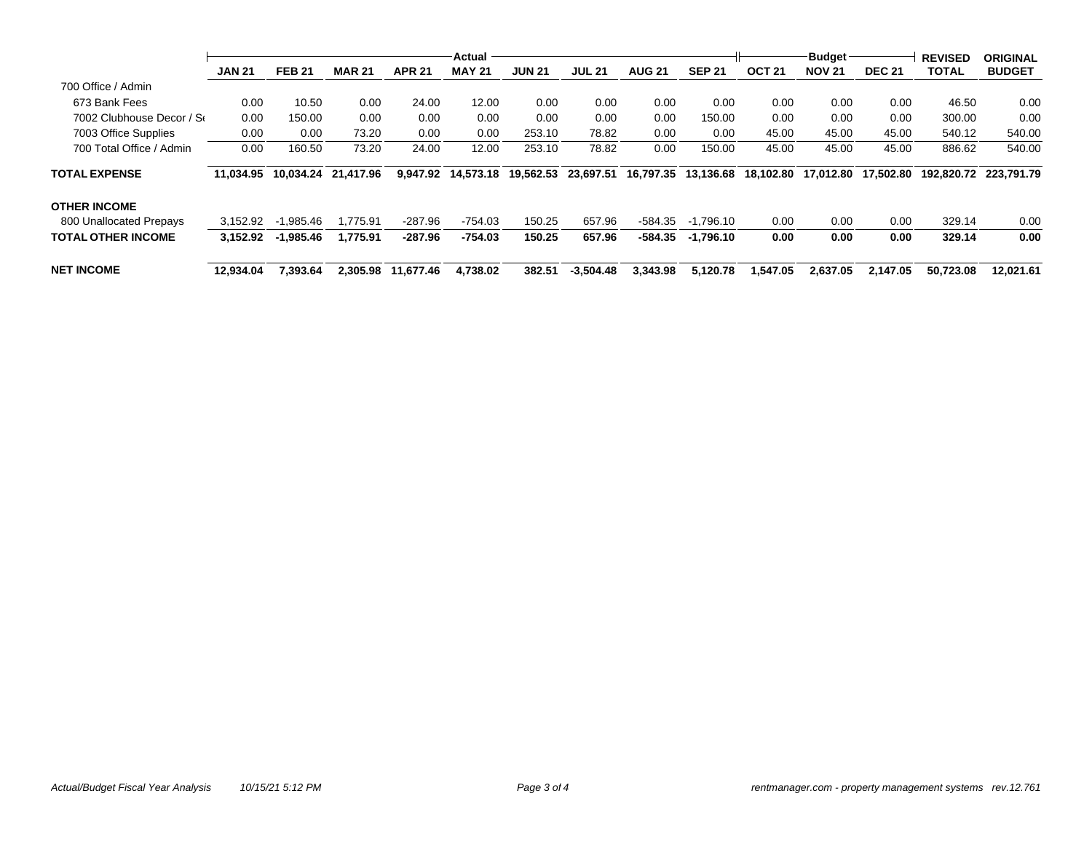|                           | <b>JAN 21</b> | <b>FEB 21</b> | <b>MAR 21</b> | <b>APR 21</b>      | Actual<br><b>MAY 21</b> | <b>JUN 21</b> | <b>JUL 21</b> | <b>AUG 21</b> | <b>SEP 21</b> | <b>OCT 21</b> | <b>Budget</b><br><b>NOV 21</b> | <b>DEC 21</b> | <b>REVISED</b><br><b>TOTAL</b> | <b>ORIGINAL</b><br><b>BUDGET</b> |
|---------------------------|---------------|---------------|---------------|--------------------|-------------------------|---------------|---------------|---------------|---------------|---------------|--------------------------------|---------------|--------------------------------|----------------------------------|
|                           |               |               |               |                    |                         |               |               |               |               |               |                                |               |                                |                                  |
| 700 Office / Admin        |               |               |               |                    |                         |               |               |               |               |               |                                |               |                                |                                  |
| 673 Bank Fees             | 0.00          | 10.50         | 0.00          | 24.00              | 12.00                   | 0.00          | 0.00          | 0.00          | 0.00          | 0.00          | 0.00                           | 0.00          | 46.50                          | 0.00                             |
| 7002 Clubhouse Decor / Se | 0.00          | 150.00        | 0.00          | 0.00               | 0.00                    | 0.00          | 0.00          | 0.00          | 150.00        | 0.00          | 0.00                           | 0.00          | 300.00                         | 0.00                             |
| 7003 Office Supplies      | 0.00          | 0.00          | 73.20         | 0.00               | 0.00                    | 253.10        | 78.82         | 0.00          | 0.00          | 45.00         | 45.00                          | 45.00         | 540.12                         | 540.00                           |
| 700 Total Office / Admin  | 0.00          | 160.50        | 73.20         | 24.00              | 12.00                   | 253.10        | 78.82         | 0.00          | 150.00        | 45.00         | 45.00                          | 45.00         | 886.62                         | 540.00                           |
| <b>TOTAL EXPENSE</b>      | 11.034.95     | 10.034.24     | 21.417.96     |                    | 9.947.92 14.573.18      | 19.562.53     | 23.697.51     | 16.797.35     | 13.136.68     | 18.102.80     | 17.012.80                      | 17.502.80     | 192.820.72                     | 223.791.79                       |
| <b>OTHER INCOME</b>       |               |               |               |                    |                         |               |               |               |               |               |                                |               |                                |                                  |
| 800 Unallocated Prepays   | 3.152.92      | $-1.985.46$   | 1.775.91      | -287.96            | $-754.03$               | 150.25        | 657.96        | -584.35       | $-1.796.10$   | 0.00          | 0.00                           | 0.00          | 329.14                         | 0.00                             |
| <b>TOTAL OTHER INCOME</b> | 3.152.92      | $-1,985.46$   | 1,775.91      | -287.96            | $-754.03$               | 150.25        | 657.96        | -584.35       | $-1.796.10$   | 0.00          | 0.00                           | 0.00          | 329.14                         | 0.00                             |
| NET INCOME                | 12.934.04     | 7.393.64      |               | 2.305.98 11.677.46 | 4.738.02                | 382.51        | $-3.504.48$   | 3.343.98      | 5.120.78      | 1.547.05      | 2.637.05                       | 2.147.05      | 50.723.08                      | 12.021.61                        |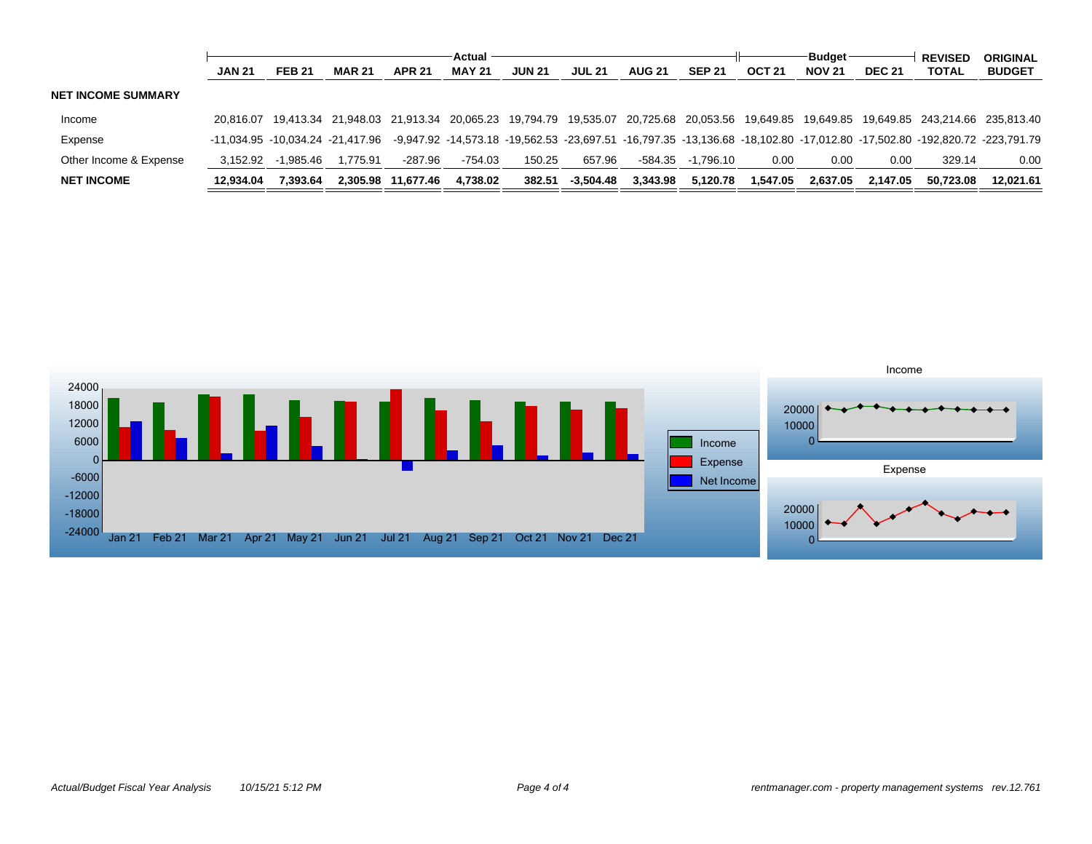|                           |               |               |                                                                                           | Actual             |               |               |               |               |               | <b>Budget</b> |               |               | <b>REVISED</b> | <b>ORIGINAL</b>                                                                                                           |
|---------------------------|---------------|---------------|-------------------------------------------------------------------------------------------|--------------------|---------------|---------------|---------------|---------------|---------------|---------------|---------------|---------------|----------------|---------------------------------------------------------------------------------------------------------------------------|
|                           | <b>JAN 21</b> | <b>FEB 21</b> | <b>MAR 21</b>                                                                             | <b>APR 21</b>      | <b>MAY 21</b> | <b>JUN 21</b> | <b>JUL 21</b> | <b>AUG 21</b> | <b>SEP 21</b> | <b>OCT 21</b> | <b>NOV 21</b> | <b>DEC 21</b> | <b>TOTAL</b>   | <b>BUDGET</b>                                                                                                             |
| <b>NET INCOME SUMMARY</b> |               |               |                                                                                           |                    |               |               |               |               |               |               |               |               |                |                                                                                                                           |
| Income                    | 20.816.07     |               | 19,413.34 21,948.03 21,913.34 20,065.23 19,794.79 19,535.07 20,725.68 20,053.56 19,649.85 |                    |               |               |               |               |               |               |               |               |                | 19.649.85  19.649.85  243.214.66  235.813.40                                                                              |
| Expense                   |               |               | -11.034.95 -10.034.24 -21.417.96                                                          |                    |               |               |               |               |               |               |               |               |                | -9,947.92 -14,573.18 -19,562.53 -23,697.51 -16,797.35 -13,136.68 -18,102.80 -17,012.80 -17,502.80 -192,820.72 -223,791.79 |
| Other Income & Expense    | 3.152.92      | -1.985.46     | .775.91                                                                                   | -287.96            | $-754.03$     | 150.25        | 657.96        | -584.35       | -1.796.10     | 0.00          | 0.00          | 0.00          | 329.14         | 0.00                                                                                                                      |
| <b>NET INCOME</b>         | 12.934.04     | 7.393.64      |                                                                                           | 2,305.98 11,677.46 | 4.738.02      | 382.51        | $-3.504.48$   | 3.343.98      | 5.120.78      | 1.547.05      | 2.637.05      | 2.147.05      | 50.723.08      | 12.021.61                                                                                                                 |